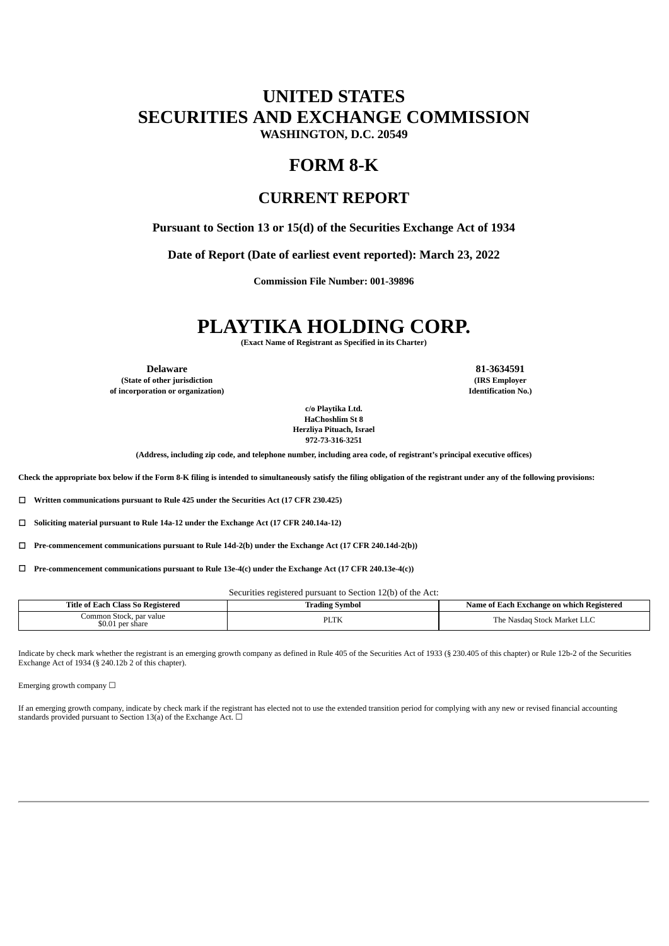# **UNITED STATES SECURITIES AND EXCHANGE COMMISSION**

**WASHINGTON, D.C. 20549**

## **FORM 8-K**

### **CURRENT REPORT**

**Pursuant to Section 13 or 15(d) of the Securities Exchange Act of 1934**

**Date of Report (Date of earliest event reported): March 23, 2022**

**Commission File Number: 001-39896**

# **PLAYTIKA HOLDING CORP.**

**(Exact Name of Registrant as Specified in its Charter)**

**(State of other jurisdiction (IRS Employer**

**of incorporation or organization) Identification No.)**

**Delaware 81-3634591**

**c/o Playtika Ltd. HaChoshlim St 8 Herzliya Pituach, Israel 972-73-316-3251**

**(Address, including zip code, and telephone number, including area code, of registrant's principal executive offices)**

Check the appropriate box below if the Form 8-K filing is intended to simultaneously satisfy the filing obligation of the registrant under any of the following provisions:

☐ **Written communications pursuant to Rule 425 under the Securities Act (17 CFR 230.425)**

☐ **Soliciting material pursuant to Rule 14a-12 under the Exchange Act (17 CFR 240.14a-12)**

☐ **Pre-commencement communications pursuant to Rule 14d-2(b) under the Exchange Act (17 CFR 240.14d-2(b))**

☐ **Pre-commencement communications pursuant to Rule 13e-4(c) under the Exchange Act (17 CFR 240.13e-4(c))**

Securities registered pursuant to Section 12(b) of the Act:

| Title of L                                        | ' Symbol    | 'Each Exchange on which Registered                    |
|---------------------------------------------------|-------------|-------------------------------------------------------|
| Each Class So Registered                          | trading     | Name of                                               |
| .ommon Stock.<br>par value<br>\$0.01<br>per share | <b>PLTK</b> | 、Market '<br>. Nasdag<br>r he<br>$$ where<br>ـا سا سا |

Indicate by check mark whether the registrant is an emerging growth company as defined in Rule 405 of the Securities Act of 1933 (§ 230.405 of this chapter) or Rule 12b-2 of the Securities Exchange Act of 1934 (§ 240.12b 2 of this chapter).

Emerging growth company  $\Box$ 

If an emerging growth company, indicate by check mark if the registrant has elected not to use the extended transition period for complying with any new or revised financial accounting standards provided pursuant to Section 13(a) of the Exchange Act.  $\Box$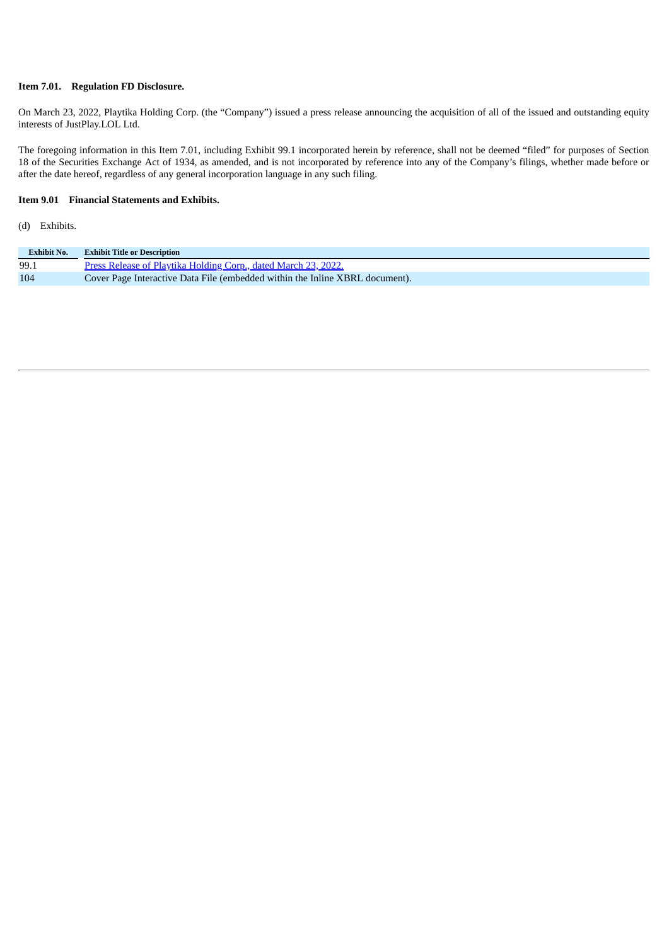### **Item 7.01. Regulation FD Disclosure.**

On March 23, 2022, Playtika Holding Corp. (the "Company") issued a press release announcing the acquisition of all of the issued and outstanding equity interests of JustPlay.LOL Ltd.

The foregoing information in this Item 7.01, including Exhibit 99.1 incorporated herein by reference, shall not be deemed "filed" for purposes of Section 18 of the Securities Exchange Act of 1934, as amended, and is not incorporated by reference into any of the Company's filings, whether made before or after the date hereof, regardless of any general incorporation language in any such filing.

#### **Item 9.01 Financial Statements and Exhibits.**

#### (d) Exhibits.

| <b>Exhibit No.</b> | <b>Exhibit Title or Description</b>                                          |
|--------------------|------------------------------------------------------------------------------|
| 99.1               | Press Release of Playtika Holding Corp., dated March 23, 2022.               |
| 104                | Cover Page Interactive Data File (embedded within the Inline XBRL document). |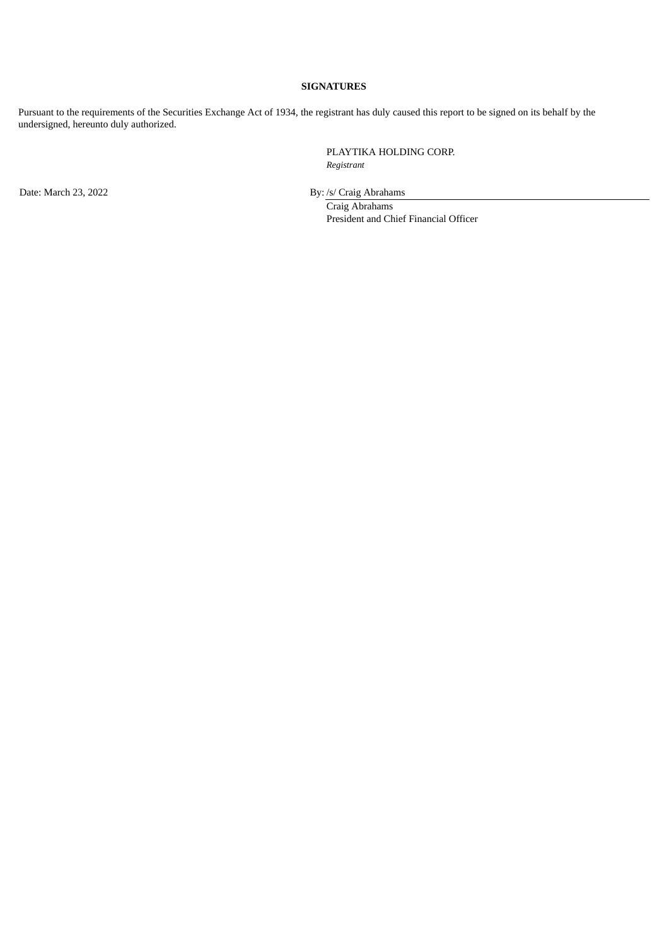### **SIGNATURES**

Pursuant to the requirements of the Securities Exchange Act of 1934, the registrant has duly caused this report to be signed on its behalf by the undersigned, hereunto duly authorized.

> PLAYTIKA HOLDING CORP. *Registrant*

Date: March 23, 2022 By: /s/ Craig Abrahams

Craig Abrahams President and Chief Financial Officer